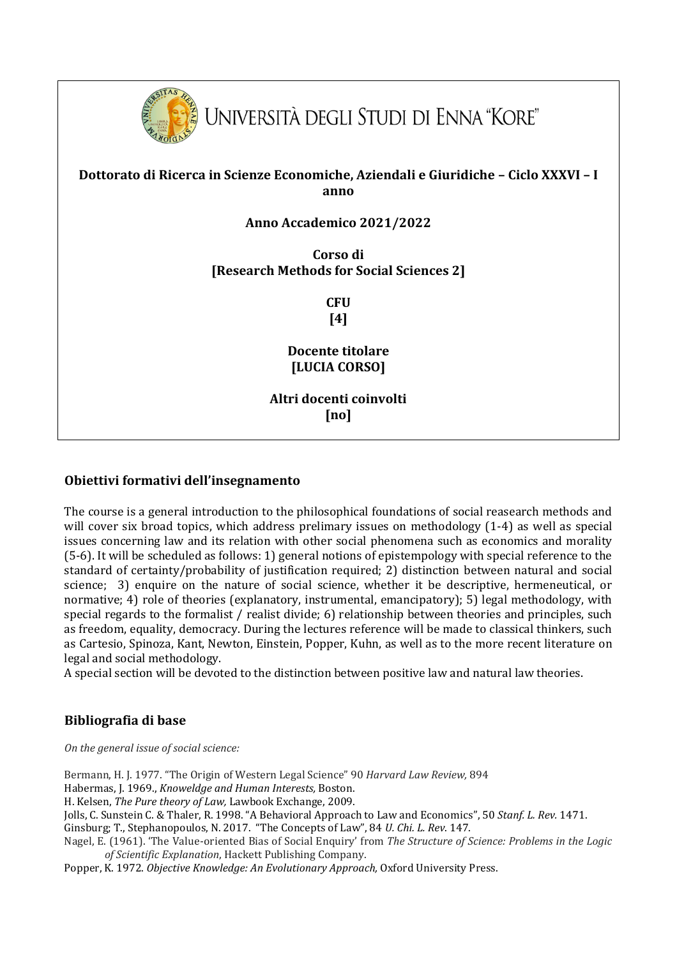

## **Dottorato di Ricerca in Scienze Economiche, Aziendali e Giuridiche – Ciclo XXXVI – I anno**

# **Anno Accademico 2021/2022**

**Corso di [Research Methods for Social Sciences 2]**

> **CFU [4]**

**Docente titolare [LUCIA CORSO]**

**Altri docenti coinvolti [no]**

#### **Obiettivi formativi dell'insegnamento**

The course is a general introduction to the philosophical foundations of social reasearch methods and will cover six broad topics, which address prelimary issues on methodology  $(1-4)$  as well as special issues concerning law and its relation with other social phenomena such as economics and morality (5-6). It will be scheduled as follows: 1) general notions of epistempology with special reference to the standard of certainty/probability of justification required; 2) distinction between natural and social science; 3) enquire on the nature of social science, whether it be descriptive, hermeneutical, or normative; 4) role of theories (explanatory, instrumental, emancipatory); 5) legal methodology, with special regards to the formalist / realist divide; 6) relationship between theories and principles, such as freedom, equality, democracy. During the lectures reference will be made to classical thinkers, such as Cartesio, Spinoza, Kant, Newton, Einstein, Popper, Kuhn, as well as to the more recent literature on legal and social methodology.

A special section will be devoted to the distinction between positive law and natural law theories.

### **Bibliografia di base**

*On the general issue of social science:* 

Bermann, H. J. 1977. "The Origin of Western Legal Science" 90 *Harvard Law Review,* 894

Habermas, J. 1969., *Knoweldge and Human Interests,* Boston.

H. Kelsen, *The Pure theory of Law,* Lawbook Exchange, 2009.

Jolls, C. Sunstein C. & Thaler, R. 1998. "A Behavioral Approach to Law and Economics", 50 *Stanf. L. Rev.* 1471.

Ginsburg; T., Stephanopoulos, N. 2017. "The Concepts of Law", 84 *U. Chi. L. Rev*. 147.

Nagel, E. (1961). 'The Value-oriented Bias of Social Enquiry' from *The Structure of Science: Problems in the Logic of Scientific Explanation*, Hackett Publishing Company.

Popper, K. 1972. *Objective Knowledge: An Evolutionary Approach,* Oxford University Press.